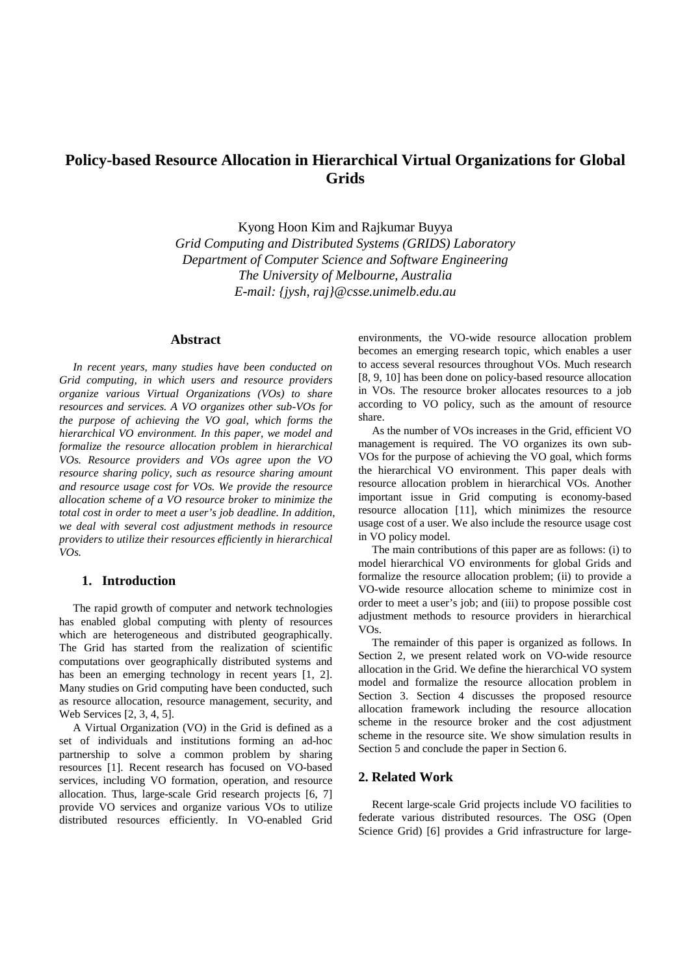# **Policy-based Resource Allocation in Hierarchical Virtual Organizations for Global Grids**

Kyong Hoon Kim and Rajkumar Buyya *Grid Computing and Distributed Systems (GRIDS) Laboratory Department of Computer Science and Software Engineering The University of Melbourne, Australia E-mail: {jysh, raj}@csse.unimelb.edu.au* 

# **Abstract**

*In recent years, many studies have been conducted on Grid computing, in which users and resource providers organize various Virtual Organizations (VOs) to share resources and services. A VO organizes other sub-VOs for the purpose of achieving the VO goal, which forms the hierarchical VO environment. In this paper, we model and formalize the resource allocation problem in hierarchical VOs. Resource providers and VOs agree upon the VO resource sharing policy, such as resource sharing amount and resource usage cost for VOs. We provide the resource allocation scheme of a VO resource broker to minimize the total cost in order to meet a user's job deadline. In addition, we deal with several cost adjustment methods in resource providers to utilize their resources efficiently in hierarchical VOs.* 

# **1. Introduction**

The rapid growth of computer and network technologies has enabled global computing with plenty of resources which are heterogeneous and distributed geographically. The Grid has started from the realization of scientific computations over geographically distributed systems and has been an emerging technology in recent years [1, 2]. Many studies on Grid computing have been conducted, such as resource allocation, resource management, security, and Web Services [2, 3, 4, 5].

A Virtual Organization (VO) in the Grid is defined as a set of individuals and institutions forming an ad-hoc partnership to solve a common problem by sharing resources [1]. Recent research has focused on VO-based services, including VO formation, operation, and resource allocation. Thus, large-scale Grid research projects [6, 7] provide VO services and organize various VOs to utilize distributed resources efficiently. In VO-enabled Grid environments, the VO-wide resource allocation problem becomes an emerging research topic, which enables a user to access several resources throughout VOs. Much research [8, 9, 10] has been done on policy-based resource allocation in VOs. The resource broker allocates resources to a job according to VO policy, such as the amount of resource share.

As the number of VOs increases in the Grid, efficient VO management is required. The VO organizes its own sub-VOs for the purpose of achieving the VO goal, which forms the hierarchical VO environment. This paper deals with resource allocation problem in hierarchical VOs. Another important issue in Grid computing is economy-based resource allocation [11], which minimizes the resource usage cost of a user. We also include the resource usage cost in VO policy model.

The main contributions of this paper are as follows: (i) to model hierarchical VO environments for global Grids and formalize the resource allocation problem; (ii) to provide a VO-wide resource allocation scheme to minimize cost in order to meet a user's job; and (iii) to propose possible cost adjustment methods to resource providers in hierarchical VOs.

The remainder of this paper is organized as follows. In Section 2, we present related work on VO-wide resource allocation in the Grid. We define the hierarchical VO system model and formalize the resource allocation problem in Section 3. Section 4 discusses the proposed resource allocation framework including the resource allocation scheme in the resource broker and the cost adjustment scheme in the resource site. We show simulation results in Section 5 and conclude the paper in Section 6.

### **2. Related Work**

Recent large-scale Grid projects include VO facilities to federate various distributed resources. The OSG (Open Science Grid) [6] provides a Grid infrastructure for large-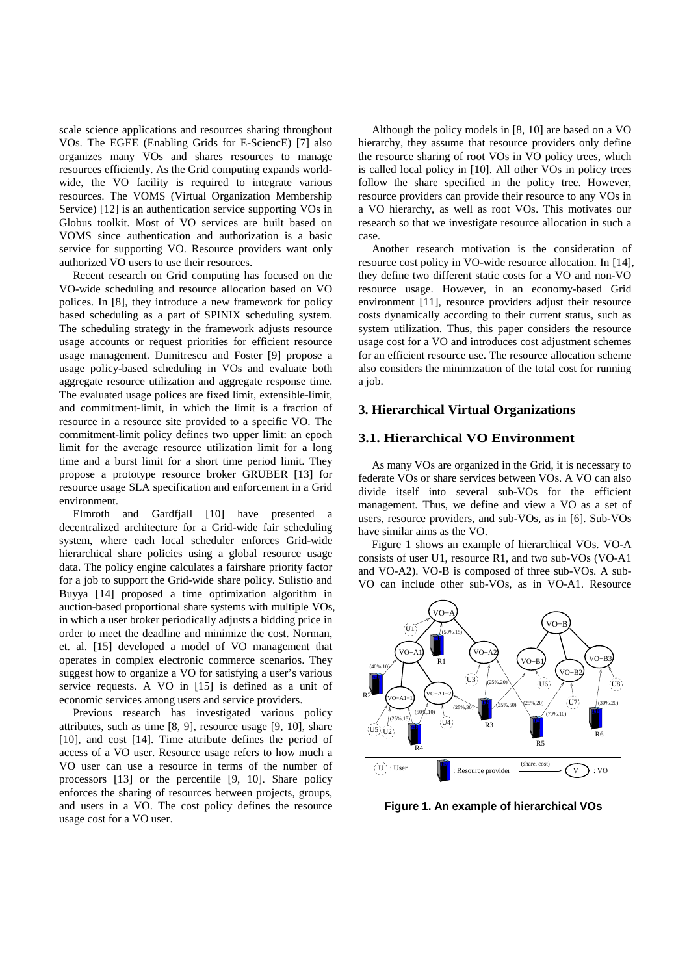scale science applications and resources sharing throughout VOs. The EGEE (Enabling Grids for E-SciencE) [7] also organizes many VOs and shares resources to manage resources efficiently. As the Grid computing expands worldwide, the VO facility is required to integrate various resources. The VOMS (Virtual Organization Membership Service) [12] is an authentication service supporting VOs in Globus toolkit. Most of VO services are built based on VOMS since authentication and authorization is a basic service for supporting VO. Resource providers want only authorized VO users to use their resources.

Recent research on Grid computing has focused on the VO-wide scheduling and resource allocation based on VO polices. In [8], they introduce a new framework for policy based scheduling as a part of SPINIX scheduling system. The scheduling strategy in the framework adjusts resource usage accounts or request priorities for efficient resource usage management. Dumitrescu and Foster [9] propose a usage policy-based scheduling in VOs and evaluate both aggregate resource utilization and aggregate response time. The evaluated usage polices are fixed limit, extensible-limit, and commitment-limit, in which the limit is a fraction of resource in a resource site provided to a specific VO. The commitment-limit policy defines two upper limit: an epoch limit for the average resource utilization limit for a long time and a burst limit for a short time period limit. They propose a prototype resource broker GRUBER [13] for resource usage SLA specification and enforcement in a Grid environment.

Elmroth and Gardfjall [10] have presented a decentralized architecture for a Grid-wide fair scheduling system, where each local scheduler enforces Grid-wide hierarchical share policies using a global resource usage data. The policy engine calculates a fairshare priority factor for a job to support the Grid-wide share policy. Sulistio and Buyya [14] proposed a time optimization algorithm in auction-based proportional share systems with multiple VOs, in which a user broker periodically adjusts a bidding price in order to meet the deadline and minimize the cost. Norman, et. al. [15] developed a model of VO management that operates in complex electronic commerce scenarios. They suggest how to organize a VO for satisfying a user's various service requests. A VO in [15] is defined as a unit of economic services among users and service providers.

Previous research has investigated various policy attributes, such as time [8, 9], resource usage [9, 10], share [10], and cost [14]. Time attribute defines the period of access of a VO user. Resource usage refers to how much a VO user can use a resource in terms of the number of processors [13] or the percentile [9, 10]. Share policy enforces the sharing of resources between projects, groups, and users in a VO. The cost policy defines the resource usage cost for a VO user.

Although the policy models in [8, 10] are based on a VO hierarchy, they assume that resource providers only define the resource sharing of root VOs in VO policy trees, which is called local policy in [10]. All other VOs in policy trees follow the share specified in the policy tree. However, resource providers can provide their resource to any VOs in a VO hierarchy, as well as root VOs. This motivates our research so that we investigate resource allocation in such a case.

Another research motivation is the consideration of resource cost policy in VO-wide resource allocation. In [14], they define two different static costs for a VO and non-VO resource usage. However, in an economy-based Grid environment [11], resource providers adjust their resource costs dynamically according to their current status, such as system utilization. Thus, this paper considers the resource usage cost for a VO and introduces cost adjustment schemes for an efficient resource use. The resource allocation scheme also considers the minimization of the total cost for running a job.

## **3. Hierarchical Virtual Organizations**

# **3.1. Hierarchical VO Environment**

As many VOs are organized in the Grid, it is necessary to federate VOs or share services between VOs. A VO can also divide itself into several sub-VOs for the efficient management. Thus, we define and view a VO as a set of users, resource providers, and sub-VOs, as in [6]. Sub-VOs have similar aims as the VO.

Figure 1 shows an example of hierarchical VOs. VO-A consists of user U1, resource R1, and two sub-VOs (VO-A1 and VO-A2). VO-B is composed of three sub-VOs. A sub-VO can include other sub-VOs, as in VO-A1. Resource



**Figure 1. An example of hierarchical VOs**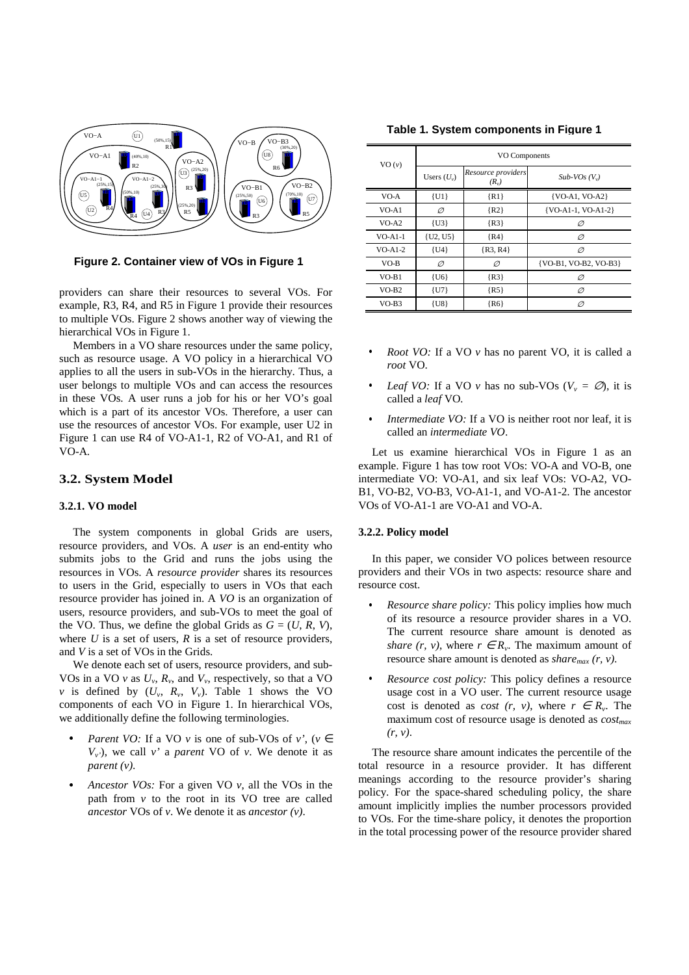

**Figure 2. Container view of VOs in Figure 1**

providers can share their resources to several VOs. For example, R3, R4, and R5 in Figure 1 provide their resources to multiple VOs. Figure 2 shows another way of viewing the hierarchical VOs in Figure 1.

Members in a VO share resources under the same policy, such as resource usage. A VO policy in a hierarchical VO applies to all the users in sub-VOs in the hierarchy. Thus, a user belongs to multiple VOs and can access the resources in these VOs. A user runs a job for his or her VO's goal which is a part of its ancestor VOs. Therefore, a user can use the resources of ancestor VOs. For example, user U2 in Figure 1 can use R4 of VO-A1-1, R2 of VO-A1, and R1 of VO-A.

## **3.2. System Model**

#### **3.2.1. VO model**

The system components in global Grids are users, resource providers, and VOs. A *user* is an end-entity who submits jobs to the Grid and runs the jobs using the resources in VOs. A *resource provider* shares its resources to users in the Grid, especially to users in VOs that each resource provider has joined in. A *VO* is an organization of users, resource providers, and sub-VOs to meet the goal of the VO. Thus, we define the global Grids as  $G = (U, R, V)$ , where  $U$  is a set of users,  $R$  is a set of resource providers, and *V* is a set of VOs in the Grids.

We denote each set of users, resource providers, and sub-VOs in a VO  $v$  as  $U_v$ ,  $R_v$ , and  $V_v$ , respectively, so that a VO *v* is defined by  $(U_v, R_v, V_v)$ . Table 1 shows the VO components of each VO in Figure 1. In hierarchical VOs, we additionally define the following terminologies.

- *Parent VO:* If a VO *v* is one of sub-VOs of *v'*, ( $v \in$  $V_v$ <sup>*v*</sup>), we call *v'* a *parent* VO of *v*. We denote it as *parent (v)*.
- *Ancestor VOs:* For a given VO *v*, all the VOs in the path from  $\nu$  to the root in its VO tree are called *ancestor* VOs of *v*. We denote it as *ancestor (v)*.

**Table 1. System components in Figure 1**

| VO (v)    | VO Components |                               |                       |  |
|-----------|---------------|-------------------------------|-----------------------|--|
|           | Users $(U_v)$ | Resource providers<br>$(R_v)$ | $Sub-VOs (Vv)$        |  |
| VO-A      | $\{U1\}$      | $\{R1\}$                      | $\{VO-A1, VO-A2\}$    |  |
| $VO-A1$   | Ø             | $\{R2\}$                      | {VO-A1-1, VO-A1-2}    |  |
| $VO-A2$   | $\{U3\}$      | $\{R3\}$                      | Ø                     |  |
| $VO-A1-1$ | $\{U2, U5\}$  | ${R4}$                        | Ø                     |  |
| $VO-A1-2$ | $\{U4\}$      | $\{R3, R4\}$                  | Ø                     |  |
| VO-B      | Ø             | Ø                             | {VO-B1, VO-B2, VO-B3} |  |
| $VO-B1$   | $\{U6\}$      | $\{R3\}$                      | Ø                     |  |
| $VO-B2$   | $\{U7\}$      | $\{R5\}$                      | Ø                     |  |
| $VO-B3$   | $\{U8\}$      | $\{R6\}$                      | Ø                     |  |

- *Root VO:* If a VO *v* has no parent VO, it is called a *root* VO.
- *Leaf VO:* If a VO *v* has no sub-VOs ( $V_v = \emptyset$ ), it is called a *leaf* VO*.*
- *Intermediate VO:* If a VO is neither root nor leaf, it is called an *intermediate VO*.

Let us examine hierarchical VOs in Figure 1 as an example. Figure 1 has tow root VOs: VO-A and VO-B, one intermediate VO: VO-A1, and six leaf VOs: VO-A2, VO-B1, VO-B2, VO-B3, VO-A1-1, and VO-A1-2. The ancestor VOs of VO-A1-1 are VO-A1 and VO-A.

#### **3.2.2. Policy model**

In this paper, we consider VO polices between resource providers and their VOs in two aspects: resource share and resource cost.

- *Resource share policy:* This policy implies how much of its resource a resource provider shares in a VO. The current resource share amount is denoted as *share (r, v)*, where  $r \in R_\nu$ . The maximum amount of resource share amount is denoted as *sharemax (r, v)*.
- *Resource cost policy:* This policy defines a resource usage cost in a VO user. The current resource usage cost is denoted as *cost*  $(r, v)$ , where  $r \in R_v$ . The maximum cost of resource usage is denoted as *costmax (r, v)*.

The resource share amount indicates the percentile of the total resource in a resource provider. It has different meanings according to the resource provider's sharing policy. For the space-shared scheduling policy, the share amount implicitly implies the number processors provided to VOs. For the time-share policy, it denotes the proportion in the total processing power of the resource provider shared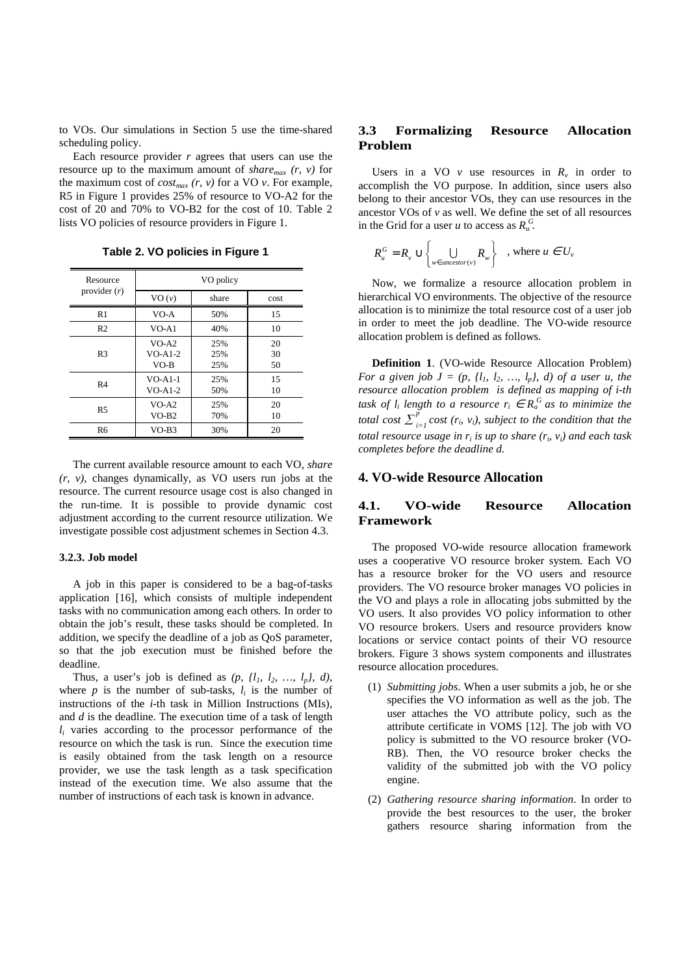to VOs. Our simulations in Section 5 use the time-shared scheduling policy.

Each resource provider *r* agrees that users can use the resource up to the maximum amount of *sharemax (r, v)* for the maximum cost of *costmax (r, v)* for a VO *v*. For example, R5 in Figure 1 provides 25% of resource to VO-A2 for the cost of 20 and 70% to VO-B2 for the cost of 10. Table 2 lists VO policies of resource providers in Figure 1.

| Resource       | VO policy                      |                   |                |  |
|----------------|--------------------------------|-------------------|----------------|--|
| provider $(r)$ | VO(v)                          | share             | cost           |  |
| R <sub>1</sub> | $VO-A$                         | 50%               | 15             |  |
| R <sub>2</sub> | $VO-A1$                        | 40%               | 10             |  |
| R <sub>3</sub> | $VO-A2$<br>$VO-A1-2$<br>$VO-B$ | 25%<br>25%<br>25% | 20<br>30<br>50 |  |
| R <sub>4</sub> | $VO-A1-1$<br>$VO-A1-2$         | 25%<br>50%        | 15<br>10       |  |
| R <sub>5</sub> | $VO-A2$<br>$VO-B2$             | 25%<br>70%        | 20<br>10       |  |
| R6             | $VO-B3$                        | 30%               | 20             |  |

**Table 2. VO policies in Figure 1** 

The current available resource amount to each VO, *share (r, v)*, changes dynamically, as VO users run jobs at the resource. The current resource usage cost is also changed in the run-time. It is possible to provide dynamic cost adjustment according to the current resource utilization. We investigate possible cost adjustment schemes in Section 4.3.

#### **3.2.3. Job model**

A job in this paper is considered to be a bag-of-tasks application [16], which consists of multiple independent tasks with no communication among each others. In order to obtain the job's result, these tasks should be completed. In addition, we specify the deadline of a job as QoS parameter, so that the job execution must be finished before the deadline.

Thus, a user's job is defined as  $(p, \{l_1, l_2, ..., l_p\}, d)$ , where  $p$  is the number of sub-tasks,  $l_i$  is the number of instructions of the *i*-th task in Million Instructions (MIs), and *d* is the deadline. The execution time of a task of length *li* varies according to the processor performance of the resource on which the task is run. Since the execution time is easily obtained from the task length on a resource provider, we use the task length as a task specification instead of the execution time. We also assume that the number of instructions of each task is known in advance.

# **3.3 Formalizing Resource Allocation Problem**

Users in a VO  $v$  use resources in  $R_v$  in order to accomplish the VO purpose. In addition, since users also belong to their ancestor VOs, they can use resources in the ancestor VOs of *v* as well. We define the set of all resources in the Grid for a user *u* to access as  $R_u^G$ .

$$
R_u^G = R_v \cup \left\{ \bigcup_{w \in \text{ ancestor}(v)} R_w \right\} \quad \text{, where } u \in U_v
$$

Now, we formalize a resource allocation problem in hierarchical VO environments. The objective of the resource allocation is to minimize the total resource cost of a user job in order to meet the job deadline. The VO-wide resource allocation problem is defined as follows.

**Definition 1**. (VO-wide Resource Allocation Problem) *For a given job*  $J = (p, {l_1, l_2, ..., l_p}, d)$  *of a user u, the resource allocation problem is defined as mapping of i-th task of l<sub>i</sub>* length to a resource  $r_i \in R_u^G$  as to minimize the *total cost*  $\sum_{i=1}^{p}$  $\int_{i=1}^{p}$  *cost* ( $r_i$ ,  $v_i$ ), subject to the condition that the *total resource usage in*  $r_i$  *is up to share*  $(r_i, v_i)$  *and each task completes before the deadline d.* 

# **4. VO-wide Resource Allocation**

### **4.1. VO-wide Resource Allocation Framework**

The proposed VO-wide resource allocation framework uses a cooperative VO resource broker system. Each VO has a resource broker for the VO users and resource providers. The VO resource broker manages VO policies in the VO and plays a role in allocating jobs submitted by the VO users. It also provides VO policy information to other VO resource brokers. Users and resource providers know locations or service contact points of their VO resource brokers. Figure 3 shows system components and illustrates resource allocation procedures.

- (1) *Submitting jobs*. When a user submits a job, he or she specifies the VO information as well as the job. The user attaches the VO attribute policy, such as the attribute certificate in VOMS [12]. The job with VO policy is submitted to the VO resource broker (VO-RB). Then, the VO resource broker checks the validity of the submitted job with the VO policy engine.
- (2) *Gathering resource sharing information*. In order to provide the best resources to the user, the broker gathers resource sharing information from the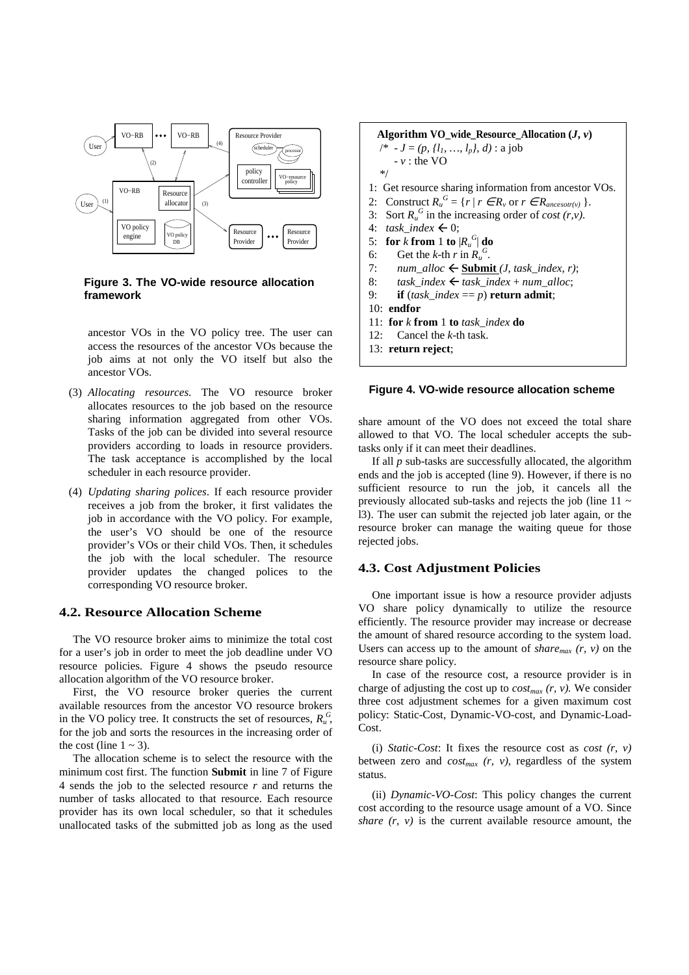

### **Figure 3. The VO-wide resource allocation framework**

ancestor VOs in the VO policy tree. The user can access the resources of the ancestor VOs because the job aims at not only the VO itself but also the ancestor VOs.

- (3) *Allocating resources*. The VO resource broker allocates resources to the job based on the resource sharing information aggregated from other VOs. Tasks of the job can be divided into several resource providers according to loads in resource providers. The task acceptance is accomplished by the local scheduler in each resource provider.
- (4) *Updating sharing polices*. If each resource provider receives a job from the broker, it first validates the job in accordance with the VO policy. For example, the user's VO should be one of the resource provider's VOs or their child VOs. Then, it schedules the job with the local scheduler. The resource provider updates the changed polices to the corresponding VO resource broker.

#### **4.2. Resource Allocation Scheme**

The VO resource broker aims to minimize the total cost for a user's job in order to meet the job deadline under VO resource policies. Figure 4 shows the pseudo resource allocation algorithm of the VO resource broker.

First, the VO resource broker queries the current available resources from the ancestor VO resource brokers in the VO policy tree. It constructs the set of resources,  $R_u^G$ , for the job and sorts the resources in the increasing order of the cost (line  $1 \sim 3$ ).

The allocation scheme is to select the resource with the minimum cost first. The function **Submit** in line 7 of Figure 4 sends the job to the selected resource *r* and returns the number of tasks allocated to that resource. Each resource provider has its own local scheduler, so that it schedules unallocated tasks of the submitted job as long as the used



#### **Figure 4. VO-wide resource allocation scheme**

share amount of the VO does not exceed the total share allowed to that VO. The local scheduler accepts the subtasks only if it can meet their deadlines.

If all *p* sub-tasks are successfully allocated, the algorithm ends and the job is accepted (line 9). However, if there is no sufficient resource to run the job, it cancels all the previously allocated sub-tasks and rejects the job (line  $11 \sim$ l3). The user can submit the rejected job later again, or the resource broker can manage the waiting queue for those rejected jobs.

# **4.3. Cost Adjustment Policies**

One important issue is how a resource provider adjusts VO share policy dynamically to utilize the resource efficiently. The resource provider may increase or decrease the amount of shared resource according to the system load. Users can access up to the amount of *share<sub>max</sub>*  $(r, v)$  on the resource share policy.

In case of the resource cost, a resource provider is in charge of adjusting the cost up to  $cost_{max}(r, v)$ . We consider three cost adjustment schemes for a given maximum cost policy: Static-Cost, Dynamic-VO-cost, and Dynamic-Load-Cost.

(i) *Static-Cost*: It fixes the resource cost as *cost (r, v)* between zero and *costmax (r, v),* regardless of the system status.

(ii) *Dynamic-VO-Cost*: This policy changes the current cost according to the resource usage amount of a VO. Since *share*  $(r, v)$  is the current available resource amount, the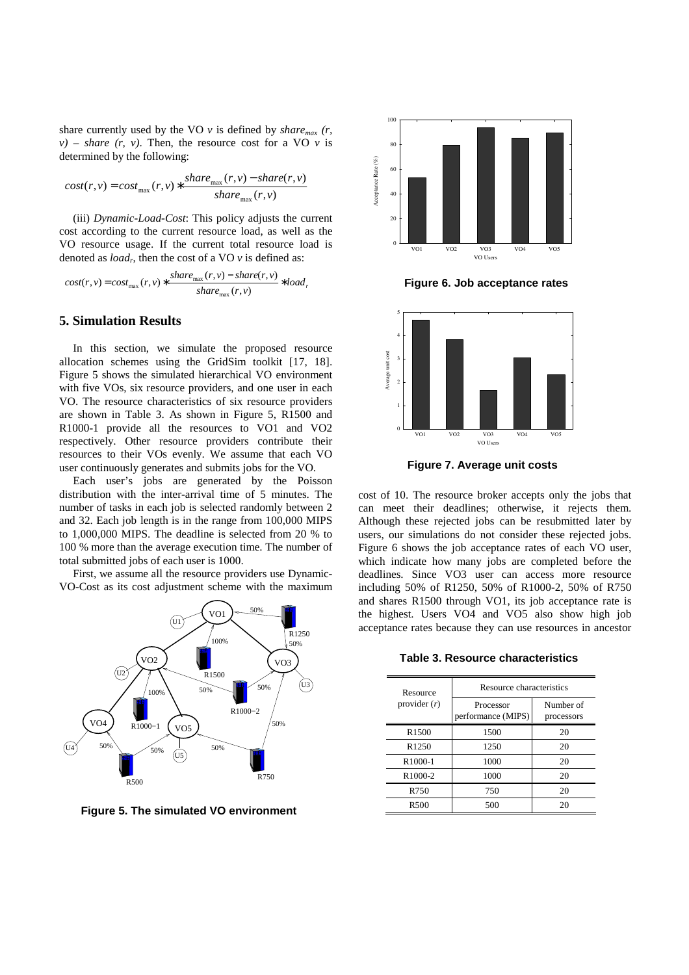share currently used by the VO *v* is defined by *sharemax (r,*   $v = share (r, v)$ . Then, the resource cost for a VO *v* is determined by the following:

$$
cost(r, v) = cost_{\max}(r, v) * \frac{share_{\max}(r, v) - share(r, v)}{share_{\max}(r, v)}
$$

(iii) *Dynamic-Load-Cost*: This policy adjusts the current cost according to the current resource load, as well as the VO resource usage. If the current total resource load is denoted as *load<sup>r</sup>* , then the cost of a VO *v* is defined as:

$$
cost(r, v) = cost_{\max}(r, v) * \frac{share_{\max}(r, v) - share(r, v)}{share_{\max}(r, v)} * load_r
$$

### **5. Simulation Results**

In this section, we simulate the proposed resource allocation schemes using the GridSim toolkit [17, 18]. Figure 5 shows the simulated hierarchical VO environment with five VOs, six resource providers, and one user in each VO. The resource characteristics of six resource providers are shown in Table 3. As shown in Figure 5, R1500 and R1000-1 provide all the resources to VO1 and VO2 respectively. Other resource providers contribute their resources to their VOs evenly. We assume that each VO user continuously generates and submits jobs for the VO.

Each user's jobs are generated by the Poisson distribution with the inter-arrival time of 5 minutes. The number of tasks in each job is selected randomly between 2 and 32. Each job length is in the range from 100,000 MIPS to 1,000,000 MIPS. The deadline is selected from 20 % to 100 % more than the average execution time. The number of total submitted jobs of each user is 1000.

First, we assume all the resource providers use Dynamic-VO-Cost as its cost adjustment scheme with the maximum



**Figure 5. The simulated VO environment** 



**Figure 6. Job acceptance rates** 



**Figure 7. Average unit costs** 

cost of 10. The resource broker accepts only the jobs that can meet their deadlines; otherwise, it rejects them. Although these rejected jobs can be resubmitted later by users, our simulations do not consider these rejected jobs. Figure 6 shows the job acceptance rates of each VO user, which indicate how many jobs are completed before the deadlines. Since VO3 user can access more resource including 50% of R1250, 50% of R1000-2, 50% of R750 and shares R1500 through VO1, its job acceptance rate is the highest. Users VO4 and VO5 also show high job acceptance rates because they can use resources in ancestor

**Table 3. Resource characteristics** 

| Resource             | Resource characteristics        |                         |  |
|----------------------|---------------------------------|-------------------------|--|
| provider $(r)$       | Processor<br>performance (MIPS) | Number of<br>processors |  |
| R <sub>1500</sub>    | 1500                            | 20                      |  |
| R <sub>1250</sub>    | 1250                            | 20                      |  |
| R1000-1              | 1000                            | 20                      |  |
| R <sub>1000</sub> -2 | 1000                            | 20                      |  |
| R750                 | 750                             | 20                      |  |
| R500                 | 500                             | 20                      |  |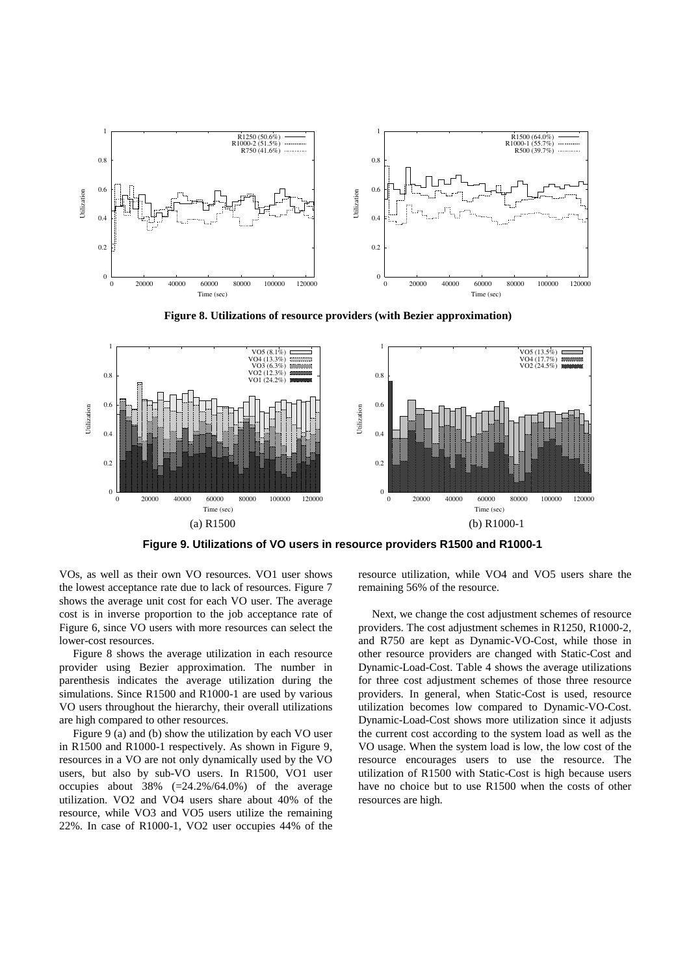

**Figure 8. Utilizations of resource providers (with Bezier approximation)** 



**Figure 9. Utilizations of VO users in resource providers R1500 and R1000-1**

VOs, as well as their own VO resources. VO1 user shows the lowest acceptance rate due to lack of resources. Figure 7 shows the average unit cost for each VO user. The average cost is in inverse proportion to the job acceptance rate of Figure 6, since VO users with more resources can select the lower-cost resources.

Figure 8 shows the average utilization in each resource provider using Bezier approximation. The number in parenthesis indicates the average utilization during the simulations. Since R1500 and R1000-1 are used by various VO users throughout the hierarchy, their overall utilizations are high compared to other resources.

Figure 9 (a) and (b) show the utilization by each VO user in R1500 and R1000-1 respectively. As shown in Figure 9, resources in a VO are not only dynamically used by the VO users, but also by sub-VO users. In R1500, VO1 user occupies about  $38\%$  (=24.2%/64.0%) of the average utilization. VO2 and VO4 users share about 40% of the resource, while VO3 and VO5 users utilize the remaining 22%. In case of R1000-1, VO2 user occupies 44% of the

resource utilization, while VO4 and VO5 users share the remaining 56% of the resource.

Next, we change the cost adjustment schemes of resource providers. The cost adjustment schemes in R1250, R1000-2, and R750 are kept as Dynamic-VO-Cost, while those in other resource providers are changed with Static-Cost and Dynamic-Load-Cost. Table 4 shows the average utilizations for three cost adjustment schemes of those three resource providers. In general, when Static-Cost is used, resource utilization becomes low compared to Dynamic-VO-Cost. Dynamic-Load-Cost shows more utilization since it adjusts the current cost according to the system load as well as the VO usage. When the system load is low, the low cost of the resource encourages users to use the resource. The utilization of R1500 with Static-Cost is high because users have no choice but to use R1500 when the costs of other resources are high.